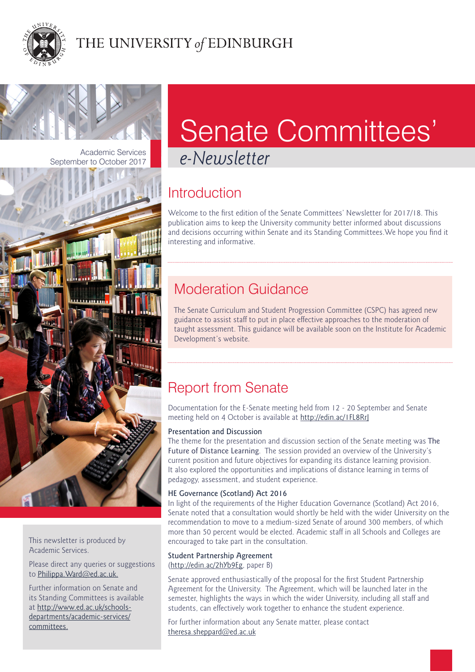



September to October 2017



This newsletter is produced by Academic Services.

Please direct any queries or suggestions to [Philippa.Ward@ed.ac.uk.](mailto:Philippa.Ward@ed.ac.uk)

Further information on Senate and its Standing Committees is available at [http://www.ed.ac.uk/schools](http://www.ed.ac.uk/schools-departments/academic-services/committees)[departments/academic-services/](http://www.ed.ac.uk/schools-departments/academic-services/committees) [committees.](http://www.ed.ac.uk/schools-departments/academic-services/committees)

# Senate Committees'

Academic Services<br>Per to October 2017

# **Introduction**

Welcome to the first edition of the Senate Committees' Newsletter for 2017/18. This publication aims to keep the University community better informed about discussions and decisions occurring within Senate and its Standing Committees.We hope you find it interesting and informative.

# Moderation Guidance

The Senate Curriculum and Student Progression Committee (CSPC) has agreed new guidance to assist staff to put in place effective approaches to the moderation of taught assessment. This guidance will be available soon on the Institute for Academic Development's website.

# Report from Senate

Documentation for the E-Senate meeting held from 12 - 20 September and Senate meeting held on 4 October is available at <http://edin.ac/1FL8RrJ>

# Presentation and Discussion

The theme for the presentation and discussion section of the Senate meeting was The Future of Distance Learning. The session provided an overview of the University's current position and future objectives for expanding its distance learning provision. It also explored the opportunities and implications of distance learning in terms of pedagogy, assessment, and student experience.

# HE Governance (Scotland) Act 2016

In light of the requirements of the Higher Education Governance (Scotland) Act 2016, Senate noted that a consultation would shortly be held with the wider University on the recommendation to move to a medium-sized Senate of around 300 members, of which more than 50 percent would be elected. Academic staff in all Schools and Colleges are encouraged to take part in the consultation.

#### Student Partnership Agreement (<http://edin.ac/2hYb9Eg>, paper B)

Senate approved enthusiastically of the proposal for the first Student Partnership Agreement for the University. The Agreement, which will be launched later in the semester, highlights the ways in which the wider University, including all staff and students, can effectively work together to enhance the student experience.

For further information about any Senate matter, please contact [theresa.sheppard@ed.ac.uk](mailto:theresa.sheppard@ed.ac.uk)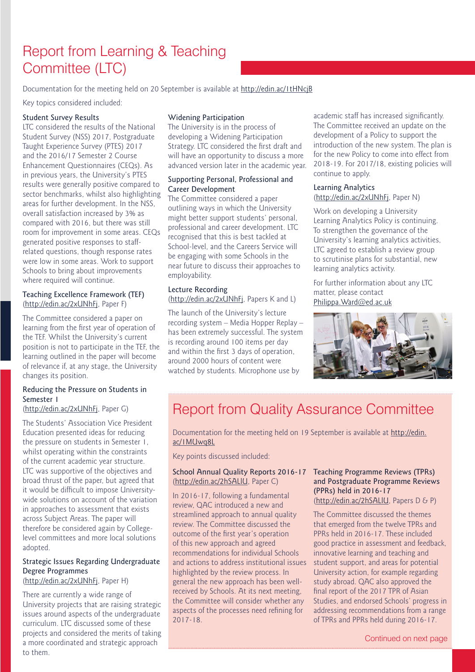# Report from Learning & Teaching Committee (LTC)

Documentation for the meeting held on 20 September is available at <http://edin.ac/1tHNcjB>

Key topics considered included:

## Student Survey Results

LTC considered the results of the National Student Survey (NSS) 2017, Postgraduate Taught Experience Survey (PTES) 2017 and the 2016/17 Semester 2 Course Enhancement Questionnaires (CEQs). As in previous years, the University's PTES results were generally positive compared to sector benchmarks, whilst also highlighting areas for further development. In the NSS, overall satisfaction increased by 3% as compared with 2016, but there was still room for improvement in some areas. CEQs generated positive responses to staffrelated questions, though response rates were low in some areas. Work to support Schools to bring about improvements where required will continue.

## Teaching Excellence Framework (TEF) [\(http://edin.ac/2xUNhFj,](http://edin.ac/2xUNhFj) Paper F)

The Committee considered a paper on learning from the first year of operation of the TEF. Whilst the University's current position is not to participate in the TEF, the learning outlined in the paper will become of relevance if, at any stage, the University changes its position.

# Reducing the Pressure on Students in Semester 1

# [\(http://edin.ac/2xUNhFj,](http://edin.ac/2xUNhFj) Paper G)

The Students' Association Vice President Education presented ideas for reducing the pressure on students in Semester 1, whilst operating within the constraints of the current academic year structure. LTC was supportive of the objectives and broad thrust of the paper, but agreed that it would be difficult to impose Universitywide solutions on account of the variation in approaches to assessment that exists across Subject Areas. The paper will therefore be considered again by Collegelevel committees and more local solutions adopted.

#### Strategic Issues Regarding Undergraduate Degree Programmes [\(http://edin.ac/2xUNhFj,](http://edin.ac/2xUNhFj) Paper H)

There are currently a wide range of University projects that are raising strategic issues around aspects of the undergraduate curriculum. LTC discussed some of these projects and considered the merits of taking a more coordinated and strategic approach to them.

## Widening Participation

The University is in the process of developing a Widening Participation Strategy. LTC considered the first draft and will have an opportunity to discuss a more advanced version later in the academic year.

# Supporting Personal, Professional and Career Development

The Committee considered a paper outlining ways in which the University might better support students' personal, professional and career development. LTC recognised that this is best tackled at School-level, and the Careers Service will be engaging with some Schools in the near future to discuss their approaches to employability.

## Lecture Recording ([http://edin.ac/2xUNhFj,](http://edin.ac/2xUNhFj) Papers K and L)

The launch of the University's lecture recording system – Media Hopper Replay – has been extremely successful. The system is recording around 100 items per day and within the first 3 days of operation, around 2000 hours of content were watched by students. Microphone use by

academic staff has increased significantly. The Committee received an update on the development of a Policy to support the introduction of the new system. The plan is for the new Policy to come into effect from 2018-19. For 2017/18, existing policies will continue to apply.

## Learning Analytics [\(http://edin.ac/2xUNhFj](http://edin.ac/2xUNhFj), Paper N)

Work on developing a University Learning Analytics Policy is continuing. To strengthen the governance of the University's learning analytics activities, LTC agreed to establish a review group to scrutinise plans for substantial, new learning analytics activity.

For further information about any LTC matter, please contact [Philippa.Ward@ed.ac.uk](mailto:Philippa.Ward@ed.ac.uk)



# Report from Quality Assurance Committee

Documentation for the meeting held on 19 September is available at [http://edin.](http://edin.ac/1MUwq8L) [ac/1MUwq8L](http://edin.ac/1MUwq8L)

Key points discussed included:

## School Annual Quality Reports 2016-17 Teaching Programme Reviews (TPRs) [\(http://edin.ac/2hSALlU,](http://edin.ac/2hSALlU) Paper C)

In 2016-17, following a fundamental review, QAC introduced a new and streamlined approach to annual quality review. The Committee discussed the outcome of the first year's operation of this new approach and agreed recommendations for individual Schools and actions to address institutional issues highlighted by the review process. In general the new approach has been wellreceived by Schools. At its next meeting, the Committee will consider whether any aspects of the processes need refining for 2017-18.

# and Postgraduate Programme Reviews (PPRs) held in 2016-17

[\(http://edin.ac/2hSALlU](http://edin.ac/2hSALlU), Papers D & P)

The Committee discussed the themes that emerged from the twelve TPRs and PPRs held in 2016-17. These included good practice in assessment and feedback, innovative learning and teaching and student support, and areas for potential University action, for example regarding study abroad. QAC also approved the final report of the 2017 TPR of Asian Studies, and endorsed Schools' progress in addressing recommendations from a range of TPRs and PPRs held during 2016-17.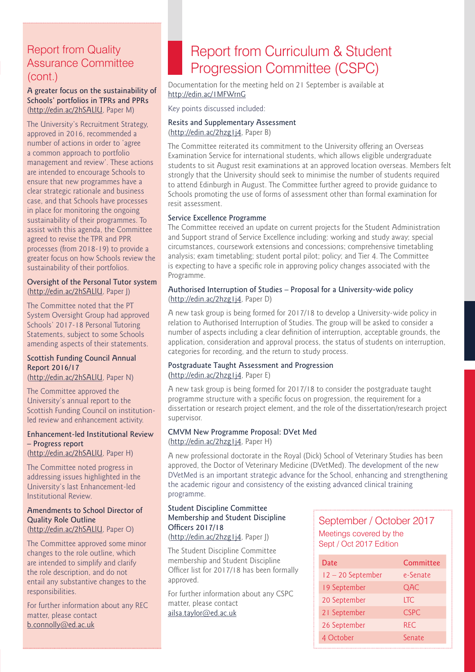# Report from Quality Assurance Committee (cont.)

#### A greater focus on the sustainability of Schools' portfolios in TPRs and PPRs [\(http://edin.ac/2hSALlU](http://edin.ac/2hSALlU), Paper M)

The University's Recruitment Strategy, approved in 2016, recommended a number of actions in order to 'agree a common approach to portfolio management and review'. These actions are intended to encourage Schools to ensure that new programmes have a clear strategic rationale and business case, and that Schools have processes in place for monitoring the ongoing sustainability of their programmes. To assist with this agenda, the Committee agreed to revise the TPR and PPR processes (from 2018-19) to provide a greater focus on how Schools review the sustainability of their portfolios.

## Oversight of the Personal Tutor system [\(http://edin.ac/2hSALlU](http://edin.ac/2hSALlU), Paper J)

The Committee noted that the PT System Oversight Group had approved Schools' 2017-18 Personal Tutoring Statements, subject to some Schools amending aspects of their statements.

# Scottish Funding Council Annual Report 2016/17

[\(http://edin.ac/2hSALlU](http://edin.ac/2hSALlU), Paper N)

The Committee approved the University's annual report to the Scottish Funding Council on institutionled review and enhancement activity.

# Enhancement-led Institutional Review – Progress report

[\(http://edin.ac/2hSALlU](http://edin.ac/2hSALlU), Paper H)

The Committee noted progress in addressing issues highlighted in the University's last Enhancement-led Institutional Review.

#### Amendments to School Director of Quality Role Outline [\(http://edin.ac/2hSALlU](http://edin.ac/2hSALlU), Paper O)

The Committee approved some minor changes to the role outline, which are intended to simplify and clarify the role description, and do not entail any substantive changes to the responsibilities.

For further information about any REC matter, please contact [b.connolly@ed.ac.uk](mailto:b.connolly@ed.ac.uk)

# Report from Curriculum & Student Progression Committee (CSPC)

Documentation for the meeting held on 21 September is available at <http://edin.ac/1MFWrnG>

Key points discussed included:

## Resits and Supplementary Assessment (<http://edin.ac/2hzg1j4>, Paper B)

The Committee reiterated its commitment to the University offering an Overseas Examination Service for international students, which allows eligible undergraduate students to sit August resit examinations at an approved location overseas. Members felt strongly that the University should seek to minimise the number of students required to attend Edinburgh in August. The Committee further agreed to provide guidance to Schools promoting the use of forms of assessment other than formal examination for resit assessment.

## Service Excellence Programme

The Committee received an update on current projects for the Student Administration and Support strand of Service Excellence including: working and study away; special circumstances, coursework extensions and concessions; comprehensive timetabling analysis; exam timetabling; student portal pilot; policy; and Tier 4. The Committee is expecting to have a specific role in approving policy changes associated with the Programme.

# Authorised Interruption of Studies – Proposal for a University-wide policy (<http://edin.ac/2hzg1j4>, Paper D)

A new task group is being formed for 2017/18 to develop a University-wide policy in relation to Authorised Interruption of Studies. The group will be asked to consider a number of aspects including a clear definition of interruption, acceptable grounds, the application, consideration and approval process, the status of students on interruption, categories for recording, and the return to study process.

## Postgraduate Taught Assessment and Progression ([http://edin.ac/2hzg1j4,](http://edin.ac/2hzg1j4) Paper E)

A new task group is being formed for 2017/18 to consider the postgraduate taught programme structure with a specific focus on progression, the requirement for a dissertation or research project element, and the role of the dissertation/research project supervisor.

# CMVM New Programme Proposal: DVet Med

(<http://edin.ac/2hzg1j4>, Paper H)

A new professional doctorate in the Royal (Dick) School of Veterinary Studies has been approved, the Doctor of Veterinary Medicine (DVetMed). The development of the new DVetMed is an important strategic advance for the School, enhancing and strengthening the academic rigour and consistency of the existing advanced clinical training programme.

# Student Discipline Committee Membership and Student Discipline Officers 2017/18

(<http://edin.ac/2hzg1j4>, Paper J)

The Student Discipline Committee membership and Student Discipline Officer list for 2017/18 has been formally approved.

For further information about any CSPC matter, please contact [ailsa.taylor@ed.ac.uk](mailto:ailsa.taylor@ed.ac.uk)

# September / October 2017 Meetings covered by the Sept / Oct 2017 Edition

| Date            | Committee   |
|-----------------|-------------|
| 12-20 September | e-Senate    |
| 19 September    | QAC         |
| 20 September    | <b>LTC</b>  |
| 21 September    | <b>CSPC</b> |
| 26 September    | <b>REC</b>  |
| 4 October       | Senate      |